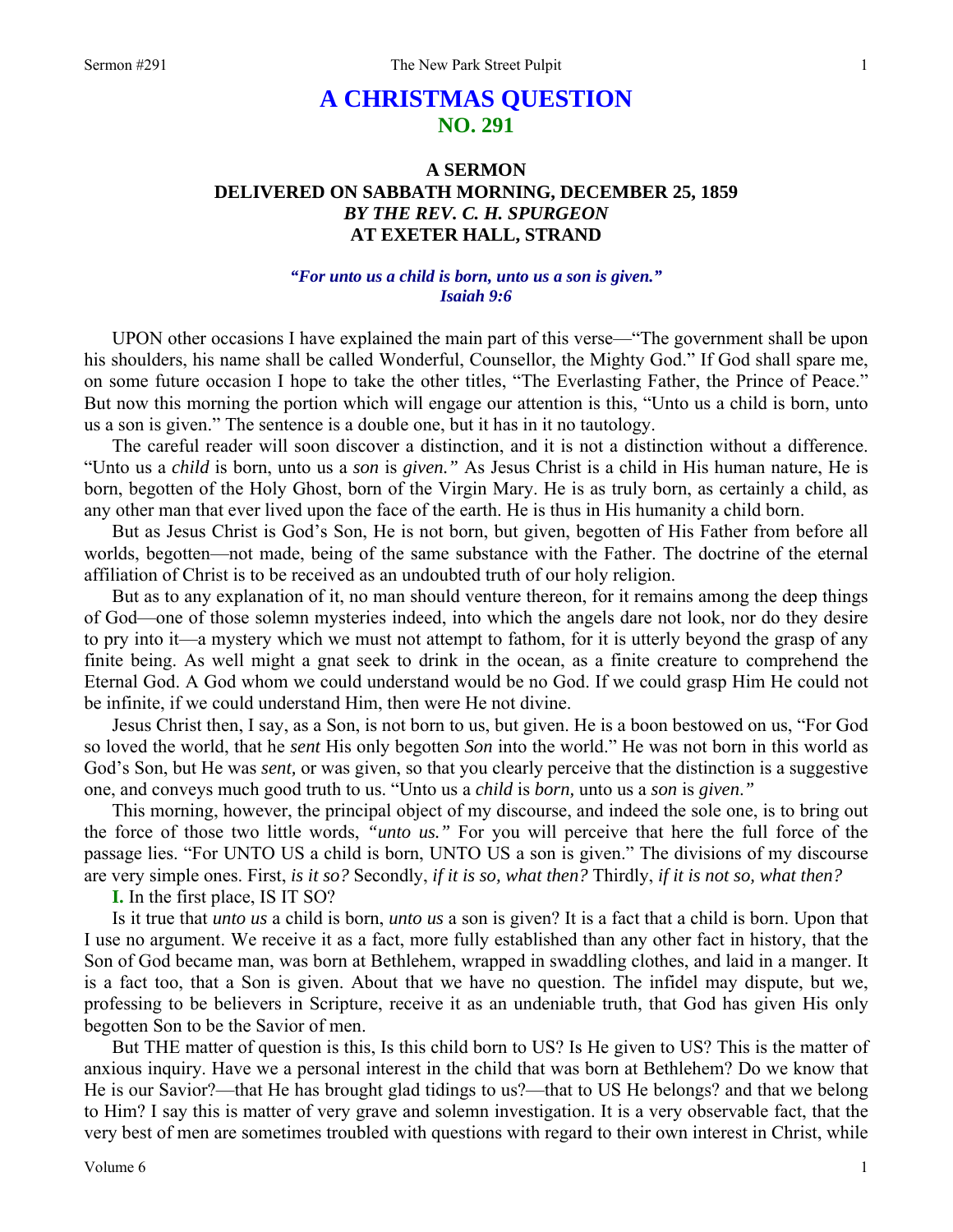# **A CHRISTMAS QUESTION NO. 291**

# **A SERMON DELIVERED ON SABBATH MORNING, DECEMBER 25, 1859**  *BY THE REV. C. H. SPURGEON*  **AT EXETER HALL, STRAND**

# *"For unto us a child is born, unto us a son is given." Isaiah 9:6*

UPON other occasions I have explained the main part of this verse—"The government shall be upon his shoulders, his name shall be called Wonderful, Counsellor, the Mighty God." If God shall spare me, on some future occasion I hope to take the other titles, "The Everlasting Father, the Prince of Peace." But now this morning the portion which will engage our attention is this, "Unto us a child is born, unto us a son is given." The sentence is a double one, but it has in it no tautology.

The careful reader will soon discover a distinction, and it is not a distinction without a difference. "Unto us a *child* is born, unto us a *son* is *given."* As Jesus Christ is a child in His human nature, He is born, begotten of the Holy Ghost, born of the Virgin Mary. He is as truly born, as certainly a child, as any other man that ever lived upon the face of the earth. He is thus in His humanity a child born.

But as Jesus Christ is God's Son, He is not born, but given, begotten of His Father from before all worlds, begotten—not made, being of the same substance with the Father. The doctrine of the eternal affiliation of Christ is to be received as an undoubted truth of our holy religion.

But as to any explanation of it, no man should venture thereon, for it remains among the deep things of God—one of those solemn mysteries indeed, into which the angels dare not look, nor do they desire to pry into it—a mystery which we must not attempt to fathom, for it is utterly beyond the grasp of any finite being. As well might a gnat seek to drink in the ocean, as a finite creature to comprehend the Eternal God. A God whom we could understand would be no God. If we could grasp Him He could not be infinite, if we could understand Him, then were He not divine.

Jesus Christ then, I say, as a Son, is not born to us, but given. He is a boon bestowed on us, "For God so loved the world, that he *sent* His only begotten *Son* into the world." He was not born in this world as God's Son, but He was *sent,* or was given, so that you clearly perceive that the distinction is a suggestive one, and conveys much good truth to us. "Unto us a *child* is *born,* unto us a *son* is *given*.*"*

This morning, however, the principal object of my discourse, and indeed the sole one, is to bring out the force of those two little words, *"unto us."* For you will perceive that here the full force of the passage lies. "For UNTO US a child is born, UNTO US a son is given." The divisions of my discourse are very simple ones. First, *is it so?* Secondly, *if it is so, what then?* Thirdly, *if it is not so, what then?*

**I.** In the first place, IS IT SO?

Is it true that *unto us* a child is born, *unto us* a son is given? It is a fact that a child is born. Upon that I use no argument. We receive it as a fact, more fully established than any other fact in history, that the Son of God became man, was born at Bethlehem, wrapped in swaddling clothes, and laid in a manger. It is a fact too, that a Son is given. About that we have no question. The infidel may dispute, but we, professing to be believers in Scripture, receive it as an undeniable truth, that God has given His only begotten Son to be the Savior of men.

But THE matter of question is this, Is this child born to US? Is He given to US? This is the matter of anxious inquiry. Have we a personal interest in the child that was born at Bethlehem? Do we know that He is our Savior?—that He has brought glad tidings to us?—that to US He belongs? and that we belong to Him? I say this is matter of very grave and solemn investigation. It is a very observable fact, that the very best of men are sometimes troubled with questions with regard to their own interest in Christ, while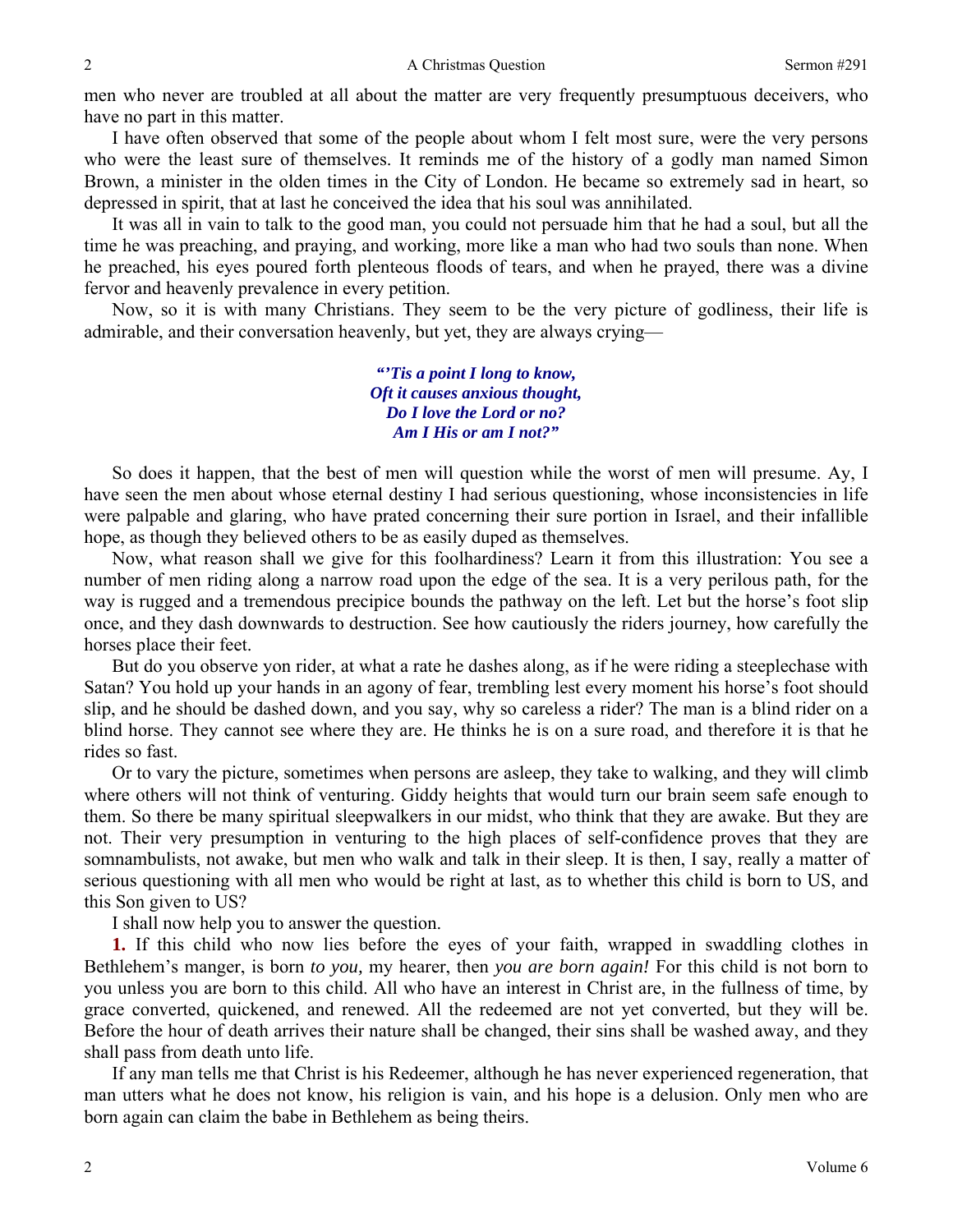men who never are troubled at all about the matter are very frequently presumptuous deceivers, who have no part in this matter.

I have often observed that some of the people about whom I felt most sure, were the very persons who were the least sure of themselves. It reminds me of the history of a godly man named Simon Brown, a minister in the olden times in the City of London. He became so extremely sad in heart, so depressed in spirit, that at last he conceived the idea that his soul was annihilated.

It was all in vain to talk to the good man, you could not persuade him that he had a soul, but all the time he was preaching, and praying, and working, more like a man who had two souls than none. When he preached, his eyes poured forth plenteous floods of tears, and when he prayed, there was a divine fervor and heavenly prevalence in every petition.

Now, so it is with many Christians. They seem to be the very picture of godliness, their life is admirable, and their conversation heavenly, but yet, they are always crying—

> *"'Tis a point I long to know, Oft it causes anxious thought, Do I love the Lord or no? Am I His or am I not?"*

So does it happen, that the best of men will question while the worst of men will presume. Ay, I have seen the men about whose eternal destiny I had serious questioning, whose inconsistencies in life were palpable and glaring, who have prated concerning their sure portion in Israel, and their infallible hope, as though they believed others to be as easily duped as themselves.

Now, what reason shall we give for this foolhardiness? Learn it from this illustration: You see a number of men riding along a narrow road upon the edge of the sea. It is a very perilous path, for the way is rugged and a tremendous precipice bounds the pathway on the left. Let but the horse's foot slip once, and they dash downwards to destruction. See how cautiously the riders journey, how carefully the horses place their feet.

But do you observe yon rider, at what a rate he dashes along, as if he were riding a steeplechase with Satan? You hold up your hands in an agony of fear, trembling lest every moment his horse's foot should slip, and he should be dashed down, and you say, why so careless a rider? The man is a blind rider on a blind horse. They cannot see where they are. He thinks he is on a sure road, and therefore it is that he rides so fast.

Or to vary the picture, sometimes when persons are asleep, they take to walking, and they will climb where others will not think of venturing. Giddy heights that would turn our brain seem safe enough to them. So there be many spiritual sleepwalkers in our midst, who think that they are awake. But they are not. Their very presumption in venturing to the high places of self-confidence proves that they are somnambulists, not awake, but men who walk and talk in their sleep. It is then, I say, really a matter of serious questioning with all men who would be right at last, as to whether this child is born to US, and this Son given to US?

I shall now help you to answer the question.

**1.** If this child who now lies before the eyes of your faith, wrapped in swaddling clothes in Bethlehem's manger, is born *to you,* my hearer, then *you are born again!* For this child is not born to you unless you are born to this child. All who have an interest in Christ are, in the fullness of time, by grace converted, quickened, and renewed. All the redeemed are not yet converted, but they will be. Before the hour of death arrives their nature shall be changed, their sins shall be washed away, and they shall pass from death unto life.

If any man tells me that Christ is his Redeemer, although he has never experienced regeneration, that man utters what he does not know, his religion is vain, and his hope is a delusion. Only men who are born again can claim the babe in Bethlehem as being theirs.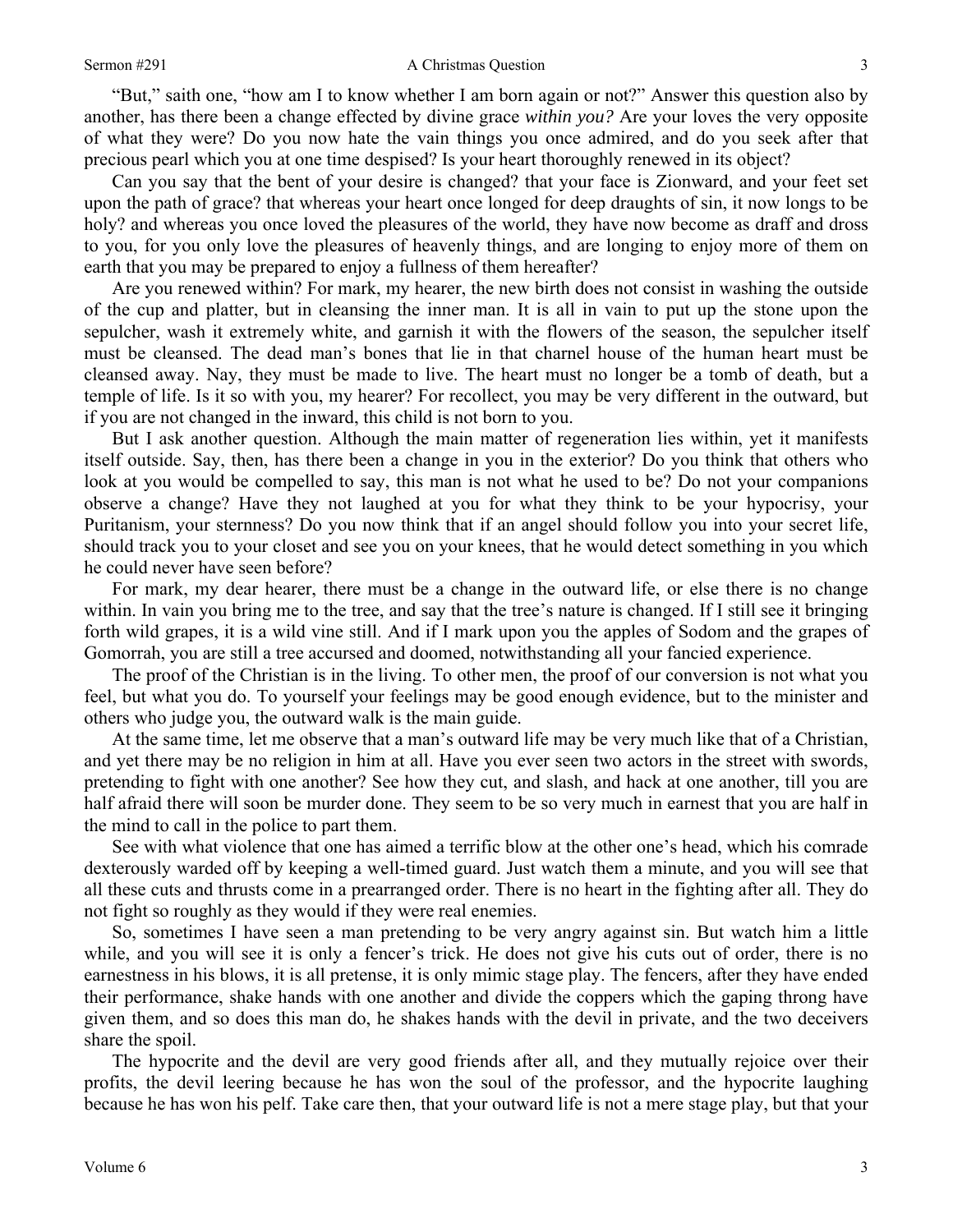#### Sermon #291 A Christmas Question

"But," saith one, "how am I to know whether I am born again or not?" Answer this question also by another, has there been a change effected by divine grace *within you?* Are your loves the very opposite of what they were? Do you now hate the vain things you once admired, and do you seek after that precious pearl which you at one time despised? Is your heart thoroughly renewed in its object?

Can you say that the bent of your desire is changed? that your face is Zionward, and your feet set upon the path of grace? that whereas your heart once longed for deep draughts of sin, it now longs to be holy? and whereas you once loved the pleasures of the world, they have now become as draff and dross to you, for you only love the pleasures of heavenly things, and are longing to enjoy more of them on earth that you may be prepared to enjoy a fullness of them hereafter?

Are you renewed within? For mark, my hearer, the new birth does not consist in washing the outside of the cup and platter, but in cleansing the inner man. It is all in vain to put up the stone upon the sepulcher, wash it extremely white, and garnish it with the flowers of the season, the sepulcher itself must be cleansed. The dead man's bones that lie in that charnel house of the human heart must be cleansed away. Nay, they must be made to live. The heart must no longer be a tomb of death, but a temple of life. Is it so with you, my hearer? For recollect, you may be very different in the outward, but if you are not changed in the inward, this child is not born to you.

But I ask another question. Although the main matter of regeneration lies within, yet it manifests itself outside. Say, then, has there been a change in you in the exterior? Do you think that others who look at you would be compelled to say, this man is not what he used to be? Do not your companions observe a change? Have they not laughed at you for what they think to be your hypocrisy, your Puritanism, your sternness? Do you now think that if an angel should follow you into your secret life, should track you to your closet and see you on your knees, that he would detect something in you which he could never have seen before?

For mark, my dear hearer, there must be a change in the outward life, or else there is no change within. In vain you bring me to the tree, and say that the tree's nature is changed. If I still see it bringing forth wild grapes, it is a wild vine still. And if I mark upon you the apples of Sodom and the grapes of Gomorrah, you are still a tree accursed and doomed, notwithstanding all your fancied experience.

The proof of the Christian is in the living. To other men, the proof of our conversion is not what you feel, but what you do. To yourself your feelings may be good enough evidence, but to the minister and others who judge you, the outward walk is the main guide.

At the same time, let me observe that a man's outward life may be very much like that of a Christian, and yet there may be no religion in him at all. Have you ever seen two actors in the street with swords, pretending to fight with one another? See how they cut, and slash, and hack at one another, till you are half afraid there will soon be murder done. They seem to be so very much in earnest that you are half in the mind to call in the police to part them.

See with what violence that one has aimed a terrific blow at the other one's head, which his comrade dexterously warded off by keeping a well-timed guard. Just watch them a minute, and you will see that all these cuts and thrusts come in a prearranged order. There is no heart in the fighting after all. They do not fight so roughly as they would if they were real enemies.

So, sometimes I have seen a man pretending to be very angry against sin. But watch him a little while, and you will see it is only a fencer's trick. He does not give his cuts out of order, there is no earnestness in his blows, it is all pretense, it is only mimic stage play. The fencers, after they have ended their performance, shake hands with one another and divide the coppers which the gaping throng have given them, and so does this man do, he shakes hands with the devil in private, and the two deceivers share the spoil.

The hypocrite and the devil are very good friends after all, and they mutually rejoice over their profits, the devil leering because he has won the soul of the professor, and the hypocrite laughing because he has won his pelf. Take care then, that your outward life is not a mere stage play, but that your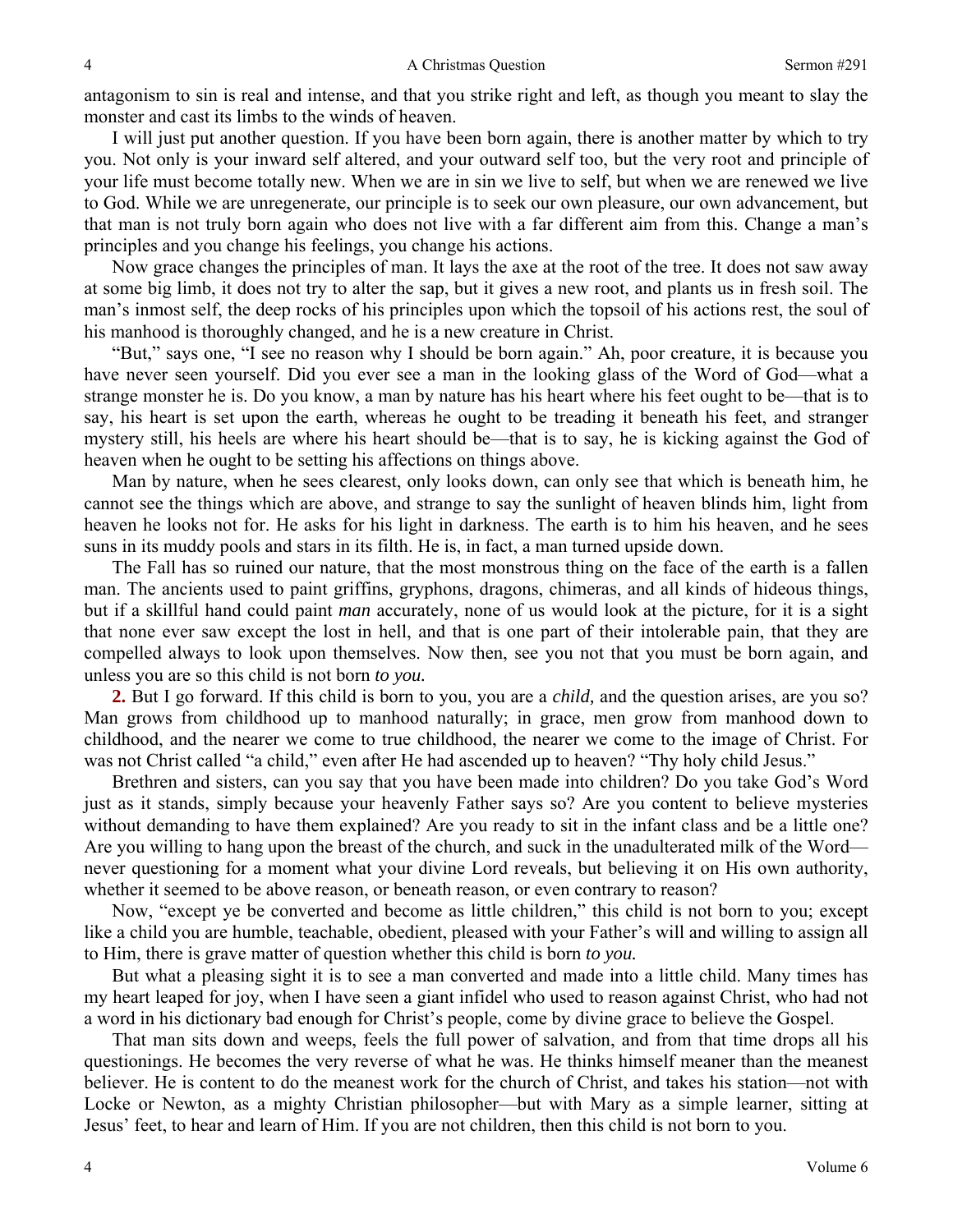antagonism to sin is real and intense, and that you strike right and left, as though you meant to slay the monster and cast its limbs to the winds of heaven.

I will just put another question. If you have been born again, there is another matter by which to try you. Not only is your inward self altered, and your outward self too, but the very root and principle of your life must become totally new. When we are in sin we live to self, but when we are renewed we live to God. While we are unregenerate, our principle is to seek our own pleasure, our own advancement, but that man is not truly born again who does not live with a far different aim from this. Change a man's principles and you change his feelings, you change his actions.

Now grace changes the principles of man. It lays the axe at the root of the tree. It does not saw away at some big limb, it does not try to alter the sap, but it gives a new root, and plants us in fresh soil. The man's inmost self, the deep rocks of his principles upon which the topsoil of his actions rest, the soul of his manhood is thoroughly changed, and he is a new creature in Christ.

"But," says one, "I see no reason why I should be born again." Ah, poor creature, it is because you have never seen yourself. Did you ever see a man in the looking glass of the Word of God—what a strange monster he is. Do you know, a man by nature has his heart where his feet ought to be—that is to say, his heart is set upon the earth, whereas he ought to be treading it beneath his feet, and stranger mystery still, his heels are where his heart should be—that is to say, he is kicking against the God of heaven when he ought to be setting his affections on things above.

Man by nature, when he sees clearest, only looks down, can only see that which is beneath him, he cannot see the things which are above, and strange to say the sunlight of heaven blinds him, light from heaven he looks not for. He asks for his light in darkness. The earth is to him his heaven, and he sees suns in its muddy pools and stars in its filth. He is, in fact, a man turned upside down.

The Fall has so ruined our nature, that the most monstrous thing on the face of the earth is a fallen man. The ancients used to paint griffins, gryphons, dragons, chimeras, and all kinds of hideous things, but if a skillful hand could paint *man* accurately, none of us would look at the picture, for it is a sight that none ever saw except the lost in hell, and that is one part of their intolerable pain, that they are compelled always to look upon themselves. Now then, see you not that you must be born again, and unless you are so this child is not born *to you.*

**2.** But I go forward. If this child is born to you, you are a *child,* and the question arises, are you so? Man grows from childhood up to manhood naturally; in grace, men grow from manhood down to childhood, and the nearer we come to true childhood, the nearer we come to the image of Christ. For was not Christ called "a child," even after He had ascended up to heaven? "Thy holy child Jesus."

Brethren and sisters, can you say that you have been made into children? Do you take God's Word just as it stands, simply because your heavenly Father says so? Are you content to believe mysteries without demanding to have them explained? Are you ready to sit in the infant class and be a little one? Are you willing to hang upon the breast of the church, and suck in the unadulterated milk of the Word never questioning for a moment what your divine Lord reveals, but believing it on His own authority, whether it seemed to be above reason, or beneath reason, or even contrary to reason?

Now, "except ye be converted and become as little children," this child is not born to you; except like a child you are humble, teachable, obedient, pleased with your Father's will and willing to assign all to Him, there is grave matter of question whether this child is born *to you.*

But what a pleasing sight it is to see a man converted and made into a little child. Many times has my heart leaped for joy, when I have seen a giant infidel who used to reason against Christ, who had not a word in his dictionary bad enough for Christ's people, come by divine grace to believe the Gospel.

That man sits down and weeps, feels the full power of salvation, and from that time drops all his questionings. He becomes the very reverse of what he was. He thinks himself meaner than the meanest believer. He is content to do the meanest work for the church of Christ, and takes his station—not with Locke or Newton, as a mighty Christian philosopher—but with Mary as a simple learner, sitting at Jesus' feet, to hear and learn of Him. If you are not children, then this child is not born to you.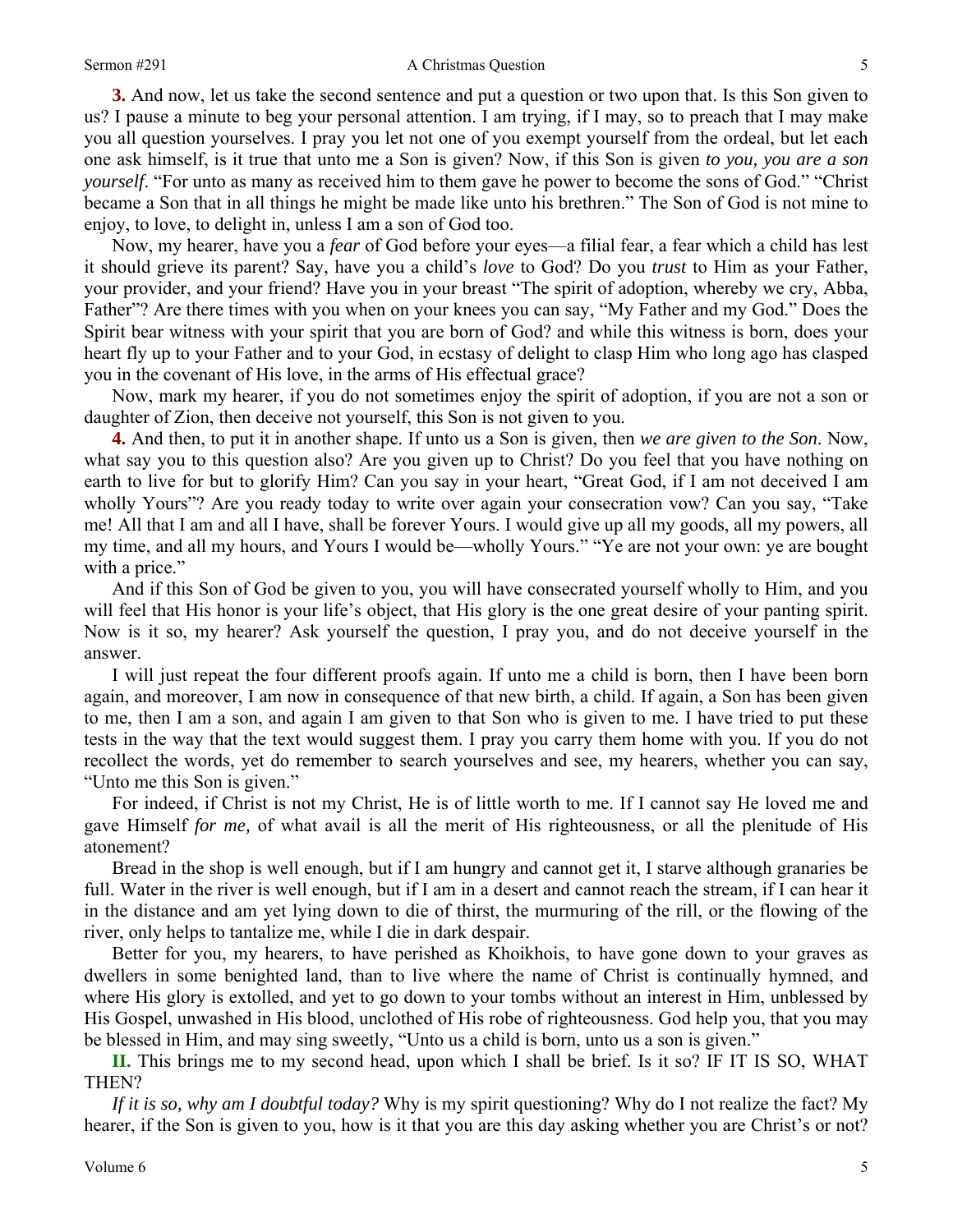#### Sermon #291 A Christmas Question

**3.** And now, let us take the second sentence and put a question or two upon that. Is this Son given to us? I pause a minute to beg your personal attention. I am trying, if I may, so to preach that I may make you all question yourselves. I pray you let not one of you exempt yourself from the ordeal, but let each one ask himself, is it true that unto me a Son is given? Now, if this Son is given *to you, you are a son yourself*. "For unto as many as received him to them gave he power to become the sons of God." "Christ became a Son that in all things he might be made like unto his brethren." The Son of God is not mine to enjoy, to love, to delight in, unless I am a son of God too.

Now, my hearer, have you a *fear* of God before your eyes—a filial fear, a fear which a child has lest it should grieve its parent? Say, have you a child's *love* to God? Do you *trust* to Him as your Father, your provider, and your friend? Have you in your breast "The spirit of adoption, whereby we cry, Abba, Father"? Are there times with you when on your knees you can say, "My Father and my God." Does the Spirit bear witness with your spirit that you are born of God? and while this witness is born, does your heart fly up to your Father and to your God, in ecstasy of delight to clasp Him who long ago has clasped you in the covenant of His love, in the arms of His effectual grace?

Now, mark my hearer, if you do not sometimes enjoy the spirit of adoption, if you are not a son or daughter of Zion, then deceive not yourself, this Son is not given to you.

**4.** And then, to put it in another shape. If unto us a Son is given, then *we are given to the Son*. Now, what say you to this question also? Are you given up to Christ? Do you feel that you have nothing on earth to live for but to glorify Him? Can you say in your heart, "Great God, if I am not deceived I am wholly Yours"? Are you ready today to write over again your consecration vow? Can you say, "Take me! All that I am and all I have, shall be forever Yours. I would give up all my goods, all my powers, all my time, and all my hours, and Yours I would be—wholly Yours." "Ye are not your own: ye are bought with a price."

And if this Son of God be given to you, you will have consecrated yourself wholly to Him, and you will feel that His honor is your life's object, that His glory is the one great desire of your panting spirit. Now is it so, my hearer? Ask yourself the question, I pray you, and do not deceive yourself in the answer.

I will just repeat the four different proofs again. If unto me a child is born, then I have been born again, and moreover, I am now in consequence of that new birth, a child. If again, a Son has been given to me, then I am a son, and again I am given to that Son who is given to me. I have tried to put these tests in the way that the text would suggest them. I pray you carry them home with you. If you do not recollect the words, yet do remember to search yourselves and see, my hearers, whether you can say, "Unto me this Son is given."

For indeed, if Christ is not my Christ, He is of little worth to me. If I cannot say He loved me and gave Himself *for me,* of what avail is all the merit of His righteousness, or all the plenitude of His atonement?

Bread in the shop is well enough, but if I am hungry and cannot get it, I starve although granaries be full. Water in the river is well enough, but if I am in a desert and cannot reach the stream, if I can hear it in the distance and am yet lying down to die of thirst, the murmuring of the rill, or the flowing of the river, only helps to tantalize me, while I die in dark despair.

Better for you, my hearers, to have perished as Khoikhois, to have gone down to your graves as dwellers in some benighted land, than to live where the name of Christ is continually hymned, and where His glory is extolled, and yet to go down to your tombs without an interest in Him, unblessed by His Gospel, unwashed in His blood, unclothed of His robe of righteousness. God help you, that you may be blessed in Him, and may sing sweetly, "Unto us a child is born, unto us a son is given."

**II.** This brings me to my second head, upon which I shall be brief. Is it so? IF IT IS SO, WHAT THEN?

*If it is so, why am I doubtful today?* Why is my spirit questioning? Why do I not realize the fact? My hearer, if the Son is given to you, how is it that you are this day asking whether you are Christ's or not?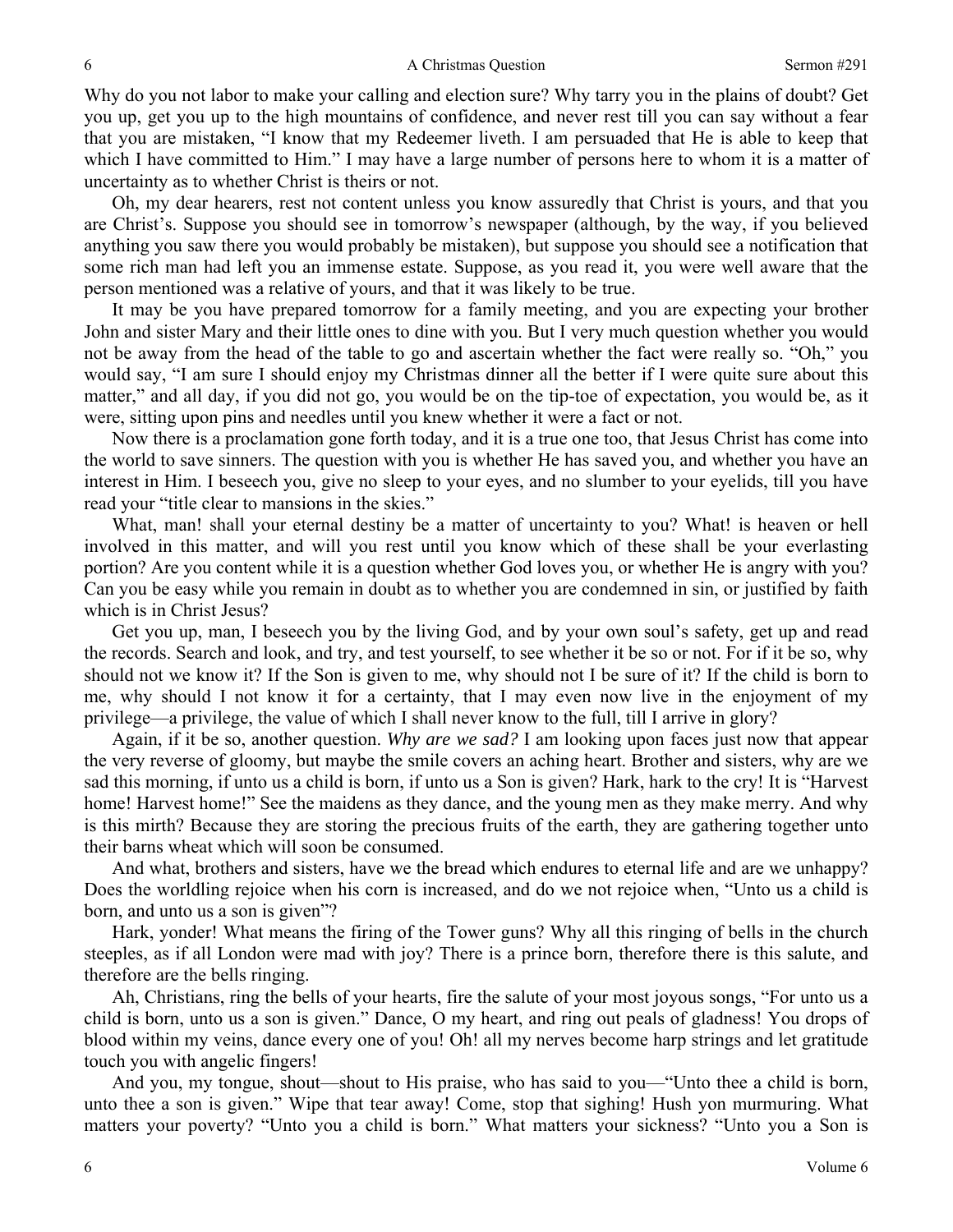Why do you not labor to make your calling and election sure? Why tarry you in the plains of doubt? Get you up, get you up to the high mountains of confidence, and never rest till you can say without a fear that you are mistaken, "I know that my Redeemer liveth. I am persuaded that He is able to keep that which I have committed to Him." I may have a large number of persons here to whom it is a matter of uncertainty as to whether Christ is theirs or not.

Oh, my dear hearers, rest not content unless you know assuredly that Christ is yours, and that you are Christ's. Suppose you should see in tomorrow's newspaper (although, by the way, if you believed anything you saw there you would probably be mistaken), but suppose you should see a notification that some rich man had left you an immense estate. Suppose, as you read it, you were well aware that the person mentioned was a relative of yours, and that it was likely to be true.

It may be you have prepared tomorrow for a family meeting, and you are expecting your brother John and sister Mary and their little ones to dine with you. But I very much question whether you would not be away from the head of the table to go and ascertain whether the fact were really so. "Oh," you would say, "I am sure I should enjoy my Christmas dinner all the better if I were quite sure about this matter," and all day, if you did not go, you would be on the tip-toe of expectation, you would be, as it were, sitting upon pins and needles until you knew whether it were a fact or not.

Now there is a proclamation gone forth today, and it is a true one too, that Jesus Christ has come into the world to save sinners. The question with you is whether He has saved you, and whether you have an interest in Him. I beseech you, give no sleep to your eyes, and no slumber to your eyelids, till you have read your "title clear to mansions in the skies."

What, man! shall your eternal destiny be a matter of uncertainty to you? What! is heaven or hell involved in this matter, and will you rest until you know which of these shall be your everlasting portion? Are you content while it is a question whether God loves you, or whether He is angry with you? Can you be easy while you remain in doubt as to whether you are condemned in sin, or justified by faith which is in Christ Jesus?

Get you up, man, I beseech you by the living God, and by your own soul's safety, get up and read the records. Search and look, and try, and test yourself, to see whether it be so or not. For if it be so, why should not we know it? If the Son is given to me, why should not I be sure of it? If the child is born to me, why should I not know it for a certainty, that I may even now live in the enjoyment of my privilege—a privilege, the value of which I shall never know to the full, till I arrive in glory?

Again, if it be so, another question. *Why are we sad?* I am looking upon faces just now that appear the very reverse of gloomy, but maybe the smile covers an aching heart. Brother and sisters, why are we sad this morning, if unto us a child is born, if unto us a Son is given? Hark, hark to the cry! It is "Harvest home! Harvest home!" See the maidens as they dance, and the young men as they make merry. And why is this mirth? Because they are storing the precious fruits of the earth, they are gathering together unto their barns wheat which will soon be consumed.

And what, brothers and sisters, have we the bread which endures to eternal life and are we unhappy? Does the worldling rejoice when his corn is increased, and do we not rejoice when, "Unto us a child is born, and unto us a son is given"?

Hark, yonder! What means the firing of the Tower guns? Why all this ringing of bells in the church steeples, as if all London were mad with joy? There is a prince born, therefore there is this salute, and therefore are the bells ringing.

Ah, Christians, ring the bells of your hearts, fire the salute of your most joyous songs, "For unto us a child is born, unto us a son is given." Dance, O my heart, and ring out peals of gladness! You drops of blood within my veins, dance every one of you! Oh! all my nerves become harp strings and let gratitude touch you with angelic fingers!

And you, my tongue, shout—shout to His praise, who has said to you—"Unto thee a child is born, unto thee a son is given." Wipe that tear away! Come, stop that sighing! Hush yon murmuring. What matters your poverty? "Unto you a child is born." What matters your sickness? "Unto you a Son is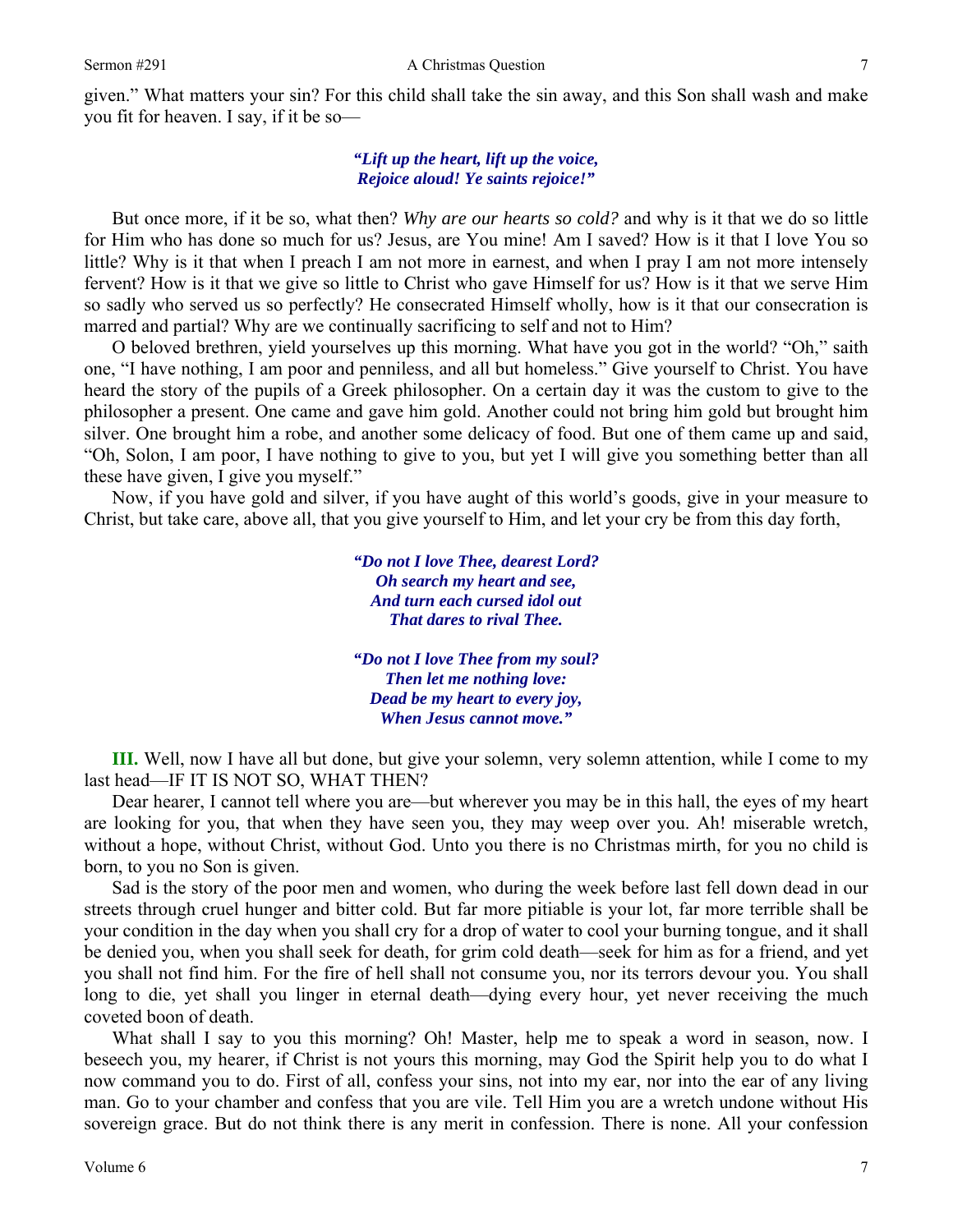given." What matters your sin? For this child shall take the sin away, and this Son shall wash and make you fit for heaven. I say, if it be so—

### *"Lift up the heart, lift up the voice, Rejoice aloud! Ye saints rejoice!"*

But once more, if it be so, what then? *Why are our hearts so cold?* and why is it that we do so little for Him who has done so much for us? Jesus, are You mine! Am I saved? How is it that I love You so little? Why is it that when I preach I am not more in earnest, and when I pray I am not more intensely fervent? How is it that we give so little to Christ who gave Himself for us? How is it that we serve Him so sadly who served us so perfectly? He consecrated Himself wholly, how is it that our consecration is marred and partial? Why are we continually sacrificing to self and not to Him?

O beloved brethren, yield yourselves up this morning. What have you got in the world? "Oh," saith one, "I have nothing, I am poor and penniless, and all but homeless." Give yourself to Christ. You have heard the story of the pupils of a Greek philosopher. On a certain day it was the custom to give to the philosopher a present. One came and gave him gold. Another could not bring him gold but brought him silver. One brought him a robe, and another some delicacy of food. But one of them came up and said, "Oh, Solon, I am poor, I have nothing to give to you, but yet I will give you something better than all these have given, I give you myself."

Now, if you have gold and silver, if you have aught of this world's goods, give in your measure to Christ, but take care, above all, that you give yourself to Him, and let your cry be from this day forth,

> *"Do not I love Thee, dearest Lord? Oh search my heart and see, And turn each cursed idol out That dares to rival Thee.*

> *"Do not I love Thee from my soul? Then let me nothing love: Dead be my heart to every joy, When Jesus cannot move."*

**III.** Well, now I have all but done, but give your solemn, very solemn attention, while I come to my last head—IF IT IS NOT SO, WHAT THEN?

Dear hearer, I cannot tell where you are—but wherever you may be in this hall, the eyes of my heart are looking for you, that when they have seen you, they may weep over you. Ah! miserable wretch, without a hope, without Christ, without God. Unto you there is no Christmas mirth, for you no child is born, to you no Son is given.

Sad is the story of the poor men and women, who during the week before last fell down dead in our streets through cruel hunger and bitter cold. But far more pitiable is your lot, far more terrible shall be your condition in the day when you shall cry for a drop of water to cool your burning tongue, and it shall be denied you, when you shall seek for death, for grim cold death—seek for him as for a friend, and yet you shall not find him. For the fire of hell shall not consume you, nor its terrors devour you. You shall long to die, yet shall you linger in eternal death—dying every hour, yet never receiving the much coveted boon of death.

What shall I say to you this morning? Oh! Master, help me to speak a word in season, now. I beseech you, my hearer, if Christ is not yours this morning, may God the Spirit help you to do what I now command you to do. First of all, confess your sins, not into my ear, nor into the ear of any living man. Go to your chamber and confess that you are vile. Tell Him you are a wretch undone without His sovereign grace. But do not think there is any merit in confession. There is none. All your confession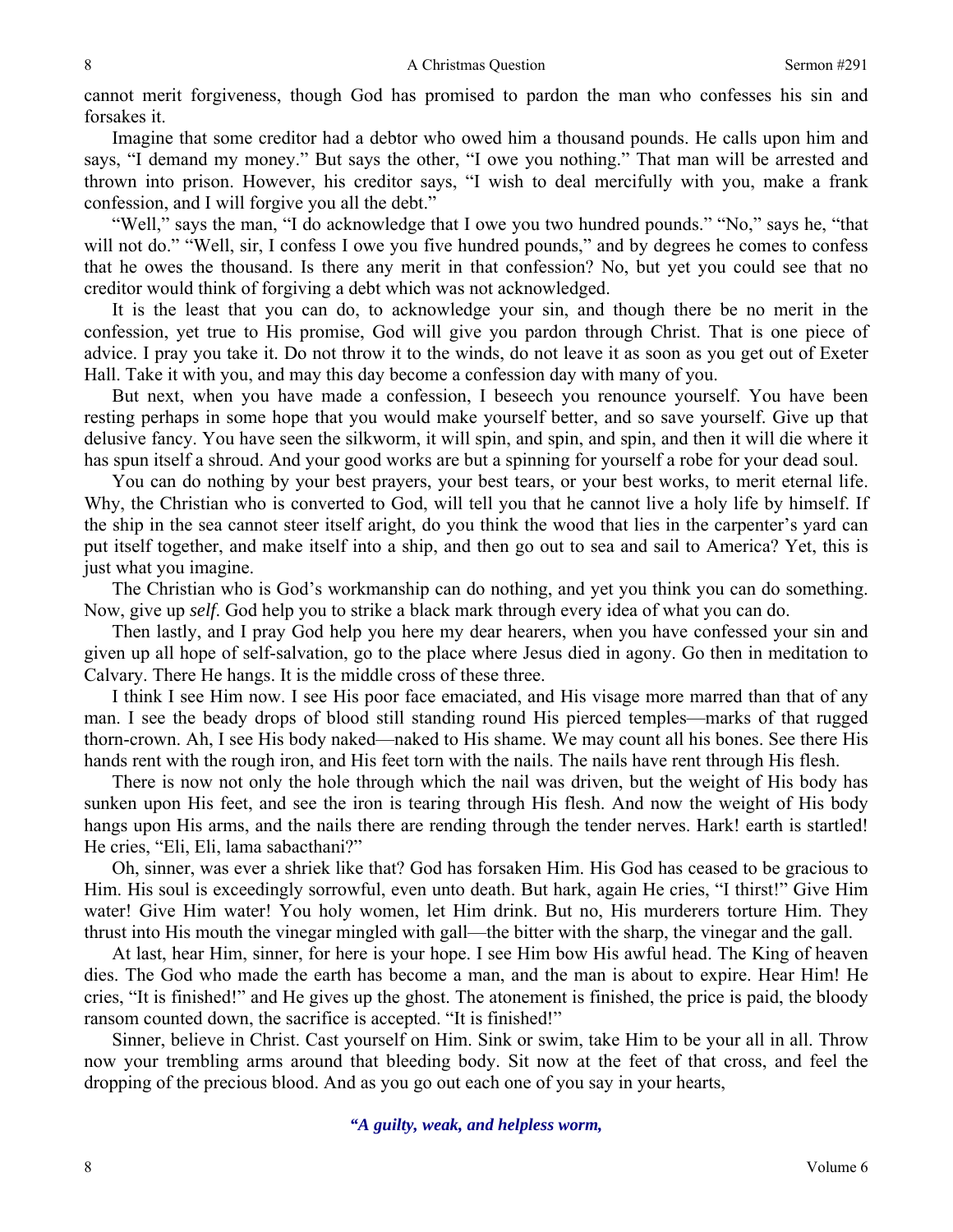cannot merit forgiveness, though God has promised to pardon the man who confesses his sin and forsakes it.

Imagine that some creditor had a debtor who owed him a thousand pounds. He calls upon him and says, "I demand my money." But says the other, "I owe you nothing." That man will be arrested and thrown into prison. However, his creditor says, "I wish to deal mercifully with you, make a frank confession, and I will forgive you all the debt."

"Well," says the man, "I do acknowledge that I owe you two hundred pounds." "No," says he, "that will not do." "Well, sir, I confess I owe you five hundred pounds," and by degrees he comes to confess that he owes the thousand. Is there any merit in that confession? No, but yet you could see that no creditor would think of forgiving a debt which was not acknowledged.

It is the least that you can do, to acknowledge your sin, and though there be no merit in the confession, yet true to His promise, God will give you pardon through Christ. That is one piece of advice. I pray you take it. Do not throw it to the winds, do not leave it as soon as you get out of Exeter Hall. Take it with you, and may this day become a confession day with many of you.

But next, when you have made a confession, I beseech you renounce yourself. You have been resting perhaps in some hope that you would make yourself better, and so save yourself. Give up that delusive fancy. You have seen the silkworm, it will spin, and spin, and spin, and then it will die where it has spun itself a shroud. And your good works are but a spinning for yourself a robe for your dead soul.

You can do nothing by your best prayers, your best tears, or your best works, to merit eternal life. Why, the Christian who is converted to God, will tell you that he cannot live a holy life by himself. If the ship in the sea cannot steer itself aright, do you think the wood that lies in the carpenter's yard can put itself together, and make itself into a ship, and then go out to sea and sail to America? Yet, this is just what you imagine.

The Christian who is God's workmanship can do nothing, and yet you think you can do something. Now, give up *self*. God help you to strike a black mark through every idea of what you can do.

Then lastly, and I pray God help you here my dear hearers, when you have confessed your sin and given up all hope of self-salvation, go to the place where Jesus died in agony. Go then in meditation to Calvary. There He hangs. It is the middle cross of these three.

I think I see Him now. I see His poor face emaciated, and His visage more marred than that of any man. I see the beady drops of blood still standing round His pierced temples—marks of that rugged thorn-crown. Ah, I see His body naked—naked to His shame. We may count all his bones. See there His hands rent with the rough iron, and His feet torn with the nails. The nails have rent through His flesh.

There is now not only the hole through which the nail was driven, but the weight of His body has sunken upon His feet, and see the iron is tearing through His flesh. And now the weight of His body hangs upon His arms, and the nails there are rending through the tender nerves. Hark! earth is startled! He cries, "Eli, Eli, lama sabacthani?"

Oh, sinner, was ever a shriek like that? God has forsaken Him. His God has ceased to be gracious to Him. His soul is exceedingly sorrowful, even unto death. But hark, again He cries, "I thirst!" Give Him water! Give Him water! You holy women, let Him drink. But no, His murderers torture Him. They thrust into His mouth the vinegar mingled with gall—the bitter with the sharp, the vinegar and the gall.

At last, hear Him, sinner, for here is your hope. I see Him bow His awful head. The King of heaven dies. The God who made the earth has become a man, and the man is about to expire. Hear Him! He cries, "It is finished!" and He gives up the ghost. The atonement is finished, the price is paid, the bloody ransom counted down, the sacrifice is accepted. "It is finished!"

Sinner, believe in Christ. Cast yourself on Him. Sink or swim, take Him to be your all in all. Throw now your trembling arms around that bleeding body. Sit now at the feet of that cross, and feel the dropping of the precious blood. And as you go out each one of you say in your hearts,

*"A guilty, weak, and helpless worm,* 

8